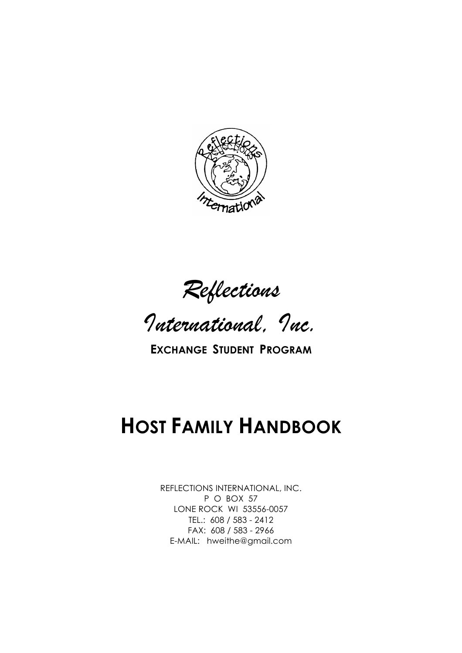

*Reflections*

*International, Inc.*

**EXCHANGE STUDENT PROGRAM**

# **HOST FAMILY HANDBOOK**

REFLECTIONS INTERNATIONAL, INC. P O BOX 57 LONE ROCK WI 53556-0057 TEL.: 608 / 583 - 2412 FAX: 608 / 583 - 2966 E-MAIL: hweithe@gmail.com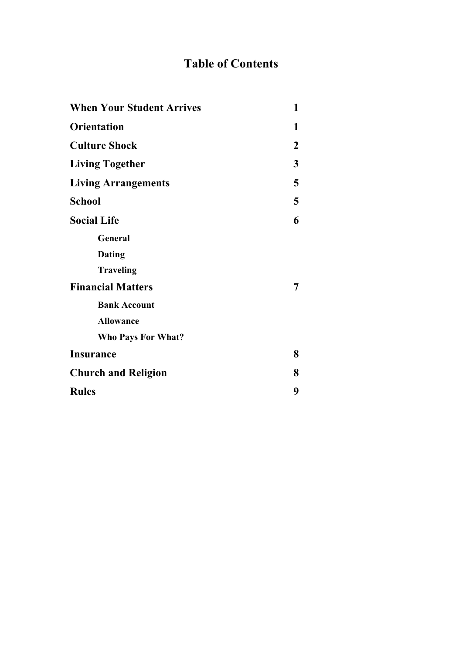# **Table of Contents**

| <b>When Your Student Arrives</b> | 1                |
|----------------------------------|------------------|
| <b>Orientation</b>               | 1                |
| <b>Culture Shock</b>             | $\boldsymbol{2}$ |
| <b>Living Together</b>           | 3                |
| <b>Living Arrangements</b>       | 5                |
| <b>School</b>                    | 5                |
| <b>Social Life</b>               | 6                |
| General                          |                  |
| <b>Dating</b>                    |                  |
| <b>Traveling</b>                 |                  |
| <b>Financial Matters</b>         | 7                |
| <b>Bank Account</b>              |                  |
| <b>Allowance</b>                 |                  |
| <b>Who Pays For What?</b>        |                  |
| <b>Insurance</b>                 | 8                |
| <b>Church and Religion</b>       | 8                |
| <b>Rules</b>                     | 9                |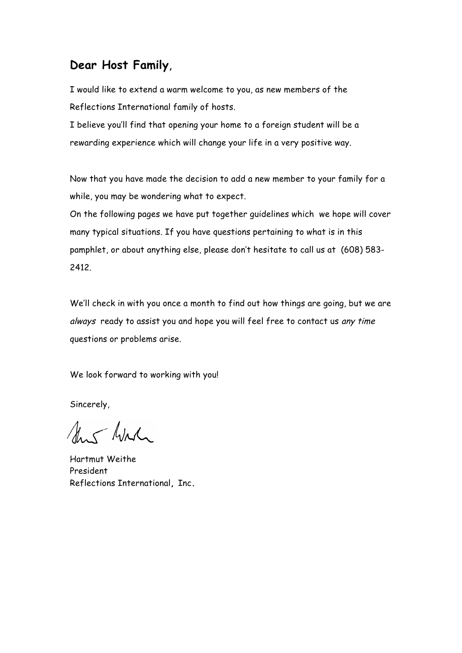## **Dear Host Family**,

I would like to extend a warm welcome to you, as new members of the Reflections International family of hosts.

I believe you'll find that opening your home to a foreign student will be a rewarding experience which will change your life in a very positive way.

Now that you have made the decision to add a new member to your family for a while, you may be wondering what to expect.

On the following pages we have put together guidelines which we hope will cover many typical situations. If you have questions pertaining to what is in this pamphlet, or about anything else, please don't hesitate to call us at (608) 583- 2412.

We'll check in with you once a month to find out how things are going, but we are always ready to assist you and hope you will feel free to contact us any time questions or problems arise.

We look forward to working with you!

Sincerely,

Aus Wirk

Hartmut Weithe President Reflections International**,** Inc**.**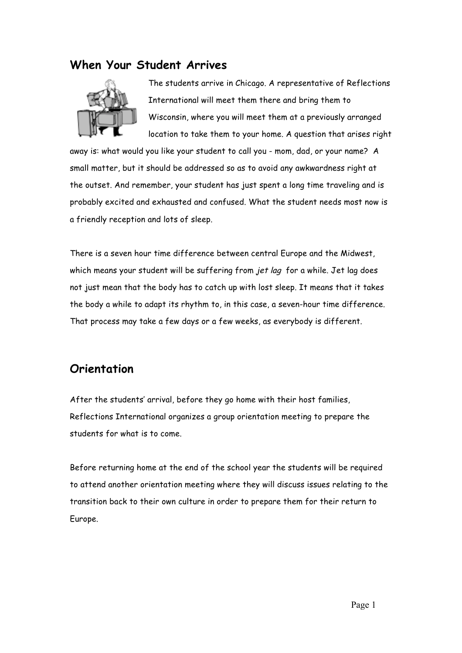#### **When Your Student Arrives**



The students arrive in Chicago. A representative of Reflections International will meet them there and bring them to Wisconsin, where you will meet them at a previously arranged location to take them to your home. A question that arises right

away is: what would you like your student to call you - mom, dad, or your name? A small matter, but it should be addressed so as to avoid any awkwardness right at the outset. And remember, your student has just spent a long time traveling and is probably excited and exhausted and confused. What the student needs most now is a friendly reception and lots of sleep.

There is a seven hour time difference between central Europe and the Midwest, which means your student will be suffering from jet lag for a while. Jet lag does not just mean that the body has to catch up with lost sleep. It means that it takes the body a while to adapt its rhythm to, in this case, a seven-hour time difference. That process may take a few days or a few weeks, as everybody is different.

## **Orientation**

After the students' arrival, before they go home with their host families, Reflections International organizes a group orientation meeting to prepare the students for what is to come.

Before returning home at the end of the school year the students will be required to attend another orientation meeting where they will discuss issues relating to the transition back to their own culture in order to prepare them for their return to Europe.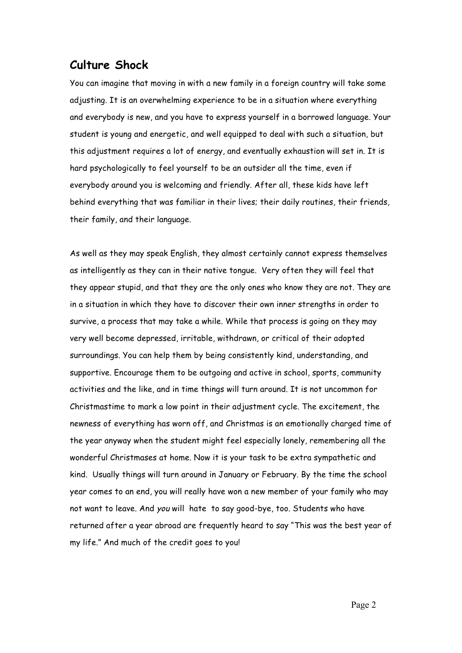#### **Culture Shock**

You can imagine that moving in with a new family in a foreign country will take some adjusting. It is an overwhelming experience to be in a situation where everything and everybody is new, and you have to express yourself in a borrowed language. Your student is young and energetic, and well equipped to deal with such a situation, but this adjustment requires a lot of energy, and eventually exhaustion will set in. It is hard psychologically to feel yourself to be an outsider all the time, even if everybody around you is welcoming and friendly. After all, these kids have left behind everything that was familiar in their lives; their daily routines, their friends, their family, and their language.

As well as they may speak English, they almost certainly cannot express themselves as intelligently as they can in their native tongue. Very often they will feel that they appear stupid, and that they are the only ones who know they are not. They are in a situation in which they have to discover their own inner strengths in order to survive, a process that may take a while. While that process is going on they may very well become depressed, irritable, withdrawn, or critical of their adopted surroundings. You can help them by being consistently kind, understanding, and supportive. Encourage them to be outgoing and active in school, sports, community activities and the like, and in time things will turn around. It is not uncommon for Christmastime to mark a low point in their adjustment cycle. The excitement, the newness of everything has worn off, and Christmas is an emotionally charged time of the year anyway when the student might feel especially lonely, remembering all the wonderful Christmases at home. Now it is your task to be extra sympathetic and kind. Usually things will turn around in January or February. By the time the school year comes to an end, you will really have won a new member of your family who may not want to leave. And you will hate to say good-bye, too. Students who have returned after a year abroad are frequently heard to say "This was the best year of my life." And much of the credit goes to you!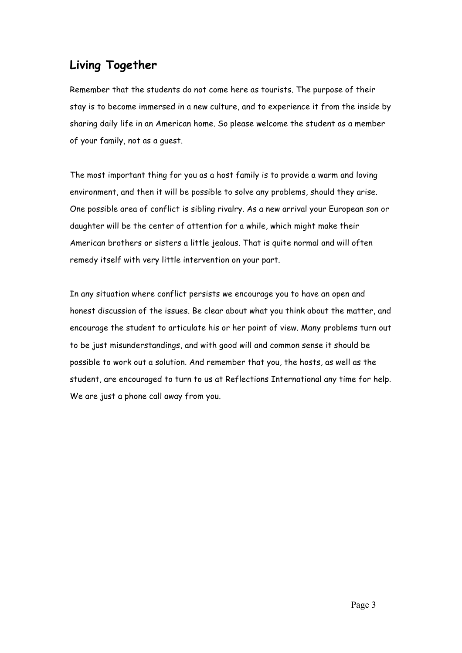# **Living Together**

Remember that the students do not come here as tourists. The purpose of their stay is to become immersed in a new culture, and to experience it from the inside by sharing daily life in an American home. So please welcome the student as a member of your family, not as a guest.

The most important thing for you as a host family is to provide a warm and loving environment, and then it will be possible to solve any problems, should they arise. One possible area of conflict is sibling rivalry. As a new arrival your European son or daughter will be the center of attention for a while, which might make their American brothers or sisters a little jealous. That is quite normal and will often remedy itself with very little intervention on your part.

In any situation where conflict persists we encourage you to have an open and honest discussion of the issues. Be clear about what you think about the matter, and encourage the student to articulate his or her point of view. Many problems turn out to be just misunderstandings, and with good will and common sense it should be possible to work out a solution. And remember that you, the hosts, as well as the student, are encouraged to turn to us at Reflections International any time for help. We are just a phone call away from you.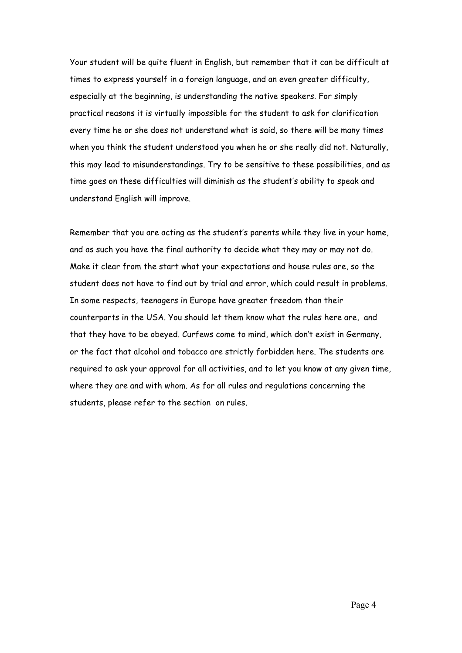Your student will be quite fluent in English, but remember that it can be difficult at times to express yourself in a foreign language, and an even greater difficulty, especially at the beginning, is understanding the native speakers. For simply practical reasons it is virtually impossible for the student to ask for clarification every time he or she does not understand what is said, so there will be many times when you think the student understood you when he or she really did not. Naturally, this may lead to misunderstandings. Try to be sensitive to these possibilities, and as time goes on these difficulties will diminish as the student's ability to speak and understand English will improve.

Remember that you are acting as the student's parents while they live in your home, and as such you have the final authority to decide what they may or may not do. Make it clear from the start what your expectations and house rules are, so the student does not have to find out by trial and error, which could result in problems. In some respects, teenagers in Europe have greater freedom than their counterparts in the USA. You should let them know what the rules here are, and that they have to be obeyed. Curfews come to mind, which don't exist in Germany, or the fact that alcohol and tobacco are strictly forbidden here. The students are required to ask your approval for all activities, and to let you know at any given time, where they are and with whom. As for all rules and regulations concerning the students, please refer to the section on rules.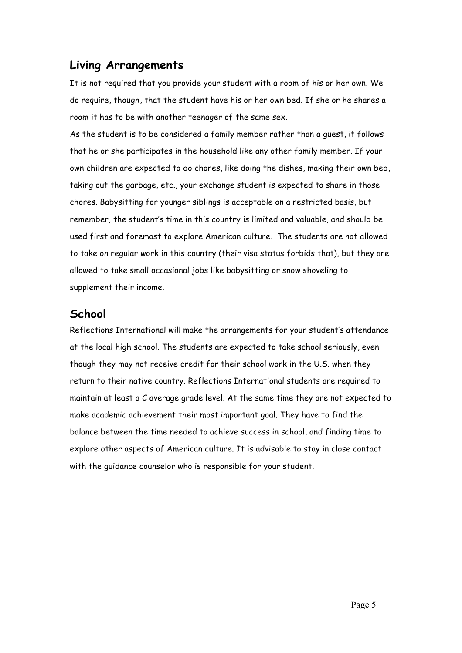## **Living Arrangements**

It is not required that you provide your student with a room of his or her own. We do require, though, that the student have his or her own bed. If she or he shares a room it has to be with another teenager of the same sex.

As the student is to be considered a family member rather than a guest, it follows that he or she participates in the household like any other family member. If your own children are expected to do chores, like doing the dishes, making their own bed, taking out the garbage, etc., your exchange student is expected to share in those chores. Babysitting for younger siblings is acceptable on a restricted basis, but remember, the student's time in this country is limited and valuable, and should be used first and foremost to explore American culture. The students are not allowed to take on regular work in this country (their visa status forbids that), but they are allowed to take small occasional jobs like babysitting or snow shoveling to supplement their income.

## **School**

Reflections International will make the arrangements for your student's attendance at the local high school. The students are expected to take school seriously, even though they may not receive credit for their school work in the U.S. when they return to their native country. Reflections International students are required to maintain at least a C average grade level. At the same time they are not expected to make academic achievement their most important goal. They have to find the balance between the time needed to achieve success in school, and finding time to explore other aspects of American culture. It is advisable to stay in close contact with the guidance counselor who is responsible for your student.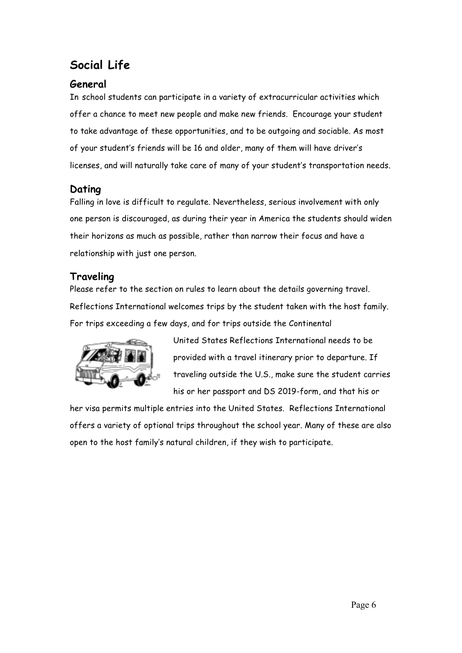# **Social Life**

#### **General**

In school students can participate in a variety of extracurricular activities which offer a chance to meet new people and make new friends. Encourage your student to take advantage of these opportunities, and to be outgoing and sociable. As most of your student's friends will be 16 and older, many of them will have driver's licenses, and will naturally take care of many of your student's transportation needs.

## **Dating**

Falling in love is difficult to regulate. Nevertheless, serious involvement with only one person is discouraged, as during their year in America the students should widen their horizons as much as possible, rather than narrow their focus and have a relationship with just one person.

#### **Traveling**

Please refer to the section on rules to learn about the details governing travel. Reflections International welcomes trips by the student taken with the host family. For trips exceeding a few days, and for trips outside the Continental



United States Reflections International needs to be provided with a travel itinerary prior to departure. If traveling outside the U.S., make sure the student carries his or her passport and DS 2019-form, and that his or

her visa permits multiple entries into the United States. Reflections International offers a variety of optional trips throughout the school year. Many of these are also open to the host family's natural children, if they wish to participate.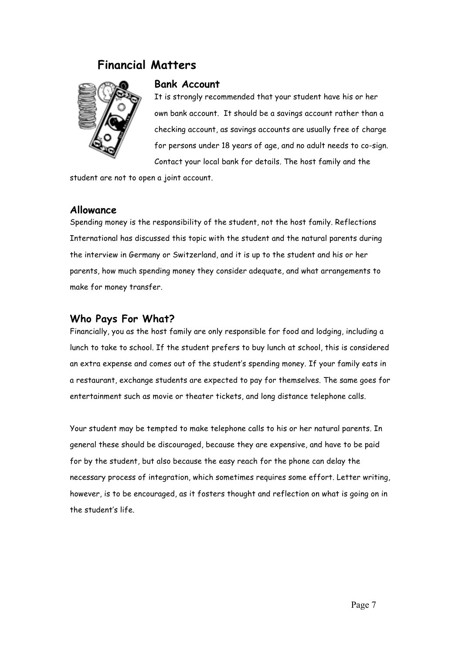### **Financial Matters**



#### **Bank Account**

It is strongly recommended that your student have his or her own bank account. It should be a savings account rather than a checking account, as savings accounts are usually free of charge for persons under 18 years of age, and no adult needs to co-sign. Contact your local bank for details. The host family and the

student are not to open a joint account.

#### **Allowance**

Spending money is the responsibility of the student, not the host family. Reflections International has discussed this topic with the student and the natural parents during the interview in Germany or Switzerland, and it is up to the student and his or her parents, how much spending money they consider adequate, and what arrangements to make for money transfer.

#### **Who Pays For What?**

Financially, you as the host family are only responsible for food and lodging, including a lunch to take to school. If the student prefers to buy lunch at school, this is considered an extra expense and comes out of the student's spending money. If your family eats in a restaurant, exchange students are expected to pay for themselves. The same goes for entertainment such as movie or theater tickets, and long distance telephone calls.

Your student may be tempted to make telephone calls to his or her natural parents. In general these should be discouraged, because they are expensive, and have to be paid for by the student, but also because the easy reach for the phone can delay the necessary process of integration, which sometimes requires some effort. Letter writing, however, is to be encouraged, as it fosters thought and reflection on what is going on in the student's life.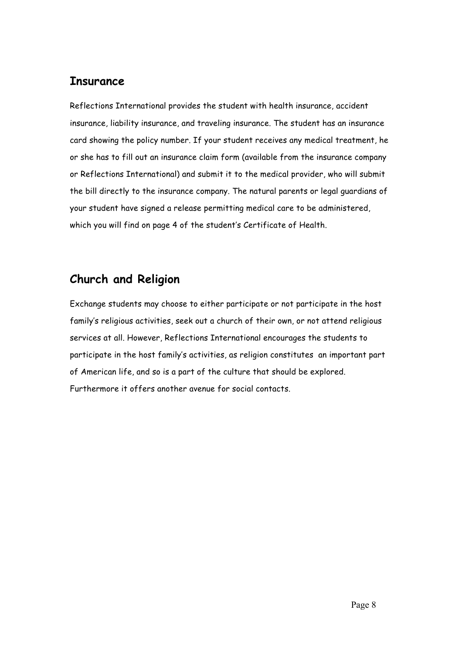## **Insurance**

Reflections International provides the student with health insurance, accident insurance, liability insurance, and traveling insurance. The student has an insurance card showing the policy number. If your student receives any medical treatment, he or she has to fill out an insurance claim form (available from the insurance company or Reflections International) and submit it to the medical provider, who will submit the bill directly to the insurance company. The natural parents or legal guardians of your student have signed a release permitting medical care to be administered, which you will find on page 4 of the student's Certificate of Health.

# **Church and Religion**

Exchange students may choose to either participate or not participate in the host family's religious activities, seek out a church of their own, or not attend religious services at all. However, Reflections International encourages the students to participate in the host family's activities, as religion constitutes an important part of American life, and so is a part of the culture that should be explored. Furthermore it offers another avenue for social contacts.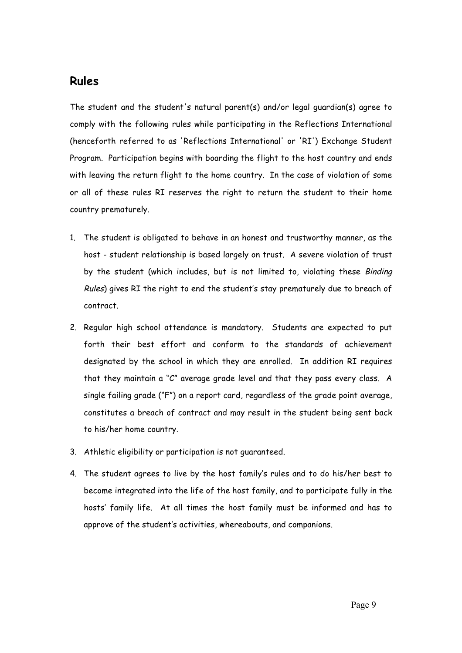## **Rules**

The student and the student's natural parent(s) and/or legal guardian(s) agree to comply with the following rules while participating in the Reflections International (henceforth referred to as 'Reflections International' or 'RI') Exchange Student Program. Participation begins with boarding the flight to the host country and ends with leaving the return flight to the home country. In the case of violation of some or all of these rules RI reserves the right to return the student to their home country prematurely.

- 1. The student is obligated to behave in an honest and trustworthy manner, as the host - student relationship is based largely on trust. A severe violation of trust by the student (which includes, but is not limited to, violating these Binding Rules) gives RI the right to end the student's stay prematurely due to breach of contract.
- 2. Regular high school attendance is mandatory. Students are expected to put forth their best effort and conform to the standards of achievement designated by the school in which they are enrolled. In addition RI requires that they maintain a "C" average grade level and that they pass every class. A single failing grade ("F") on a report card, regardless of the grade point average, constitutes a breach of contract and may result in the student being sent back to his/her home country.
- 3. Athletic eligibility or participation is not guaranteed.
- 4. The student agrees to live by the host family's rules and to do his/her best to become integrated into the life of the host family, and to participate fully in the hosts' family life. At all times the host family must be informed and has to approve of the student's activities, whereabouts, and companions.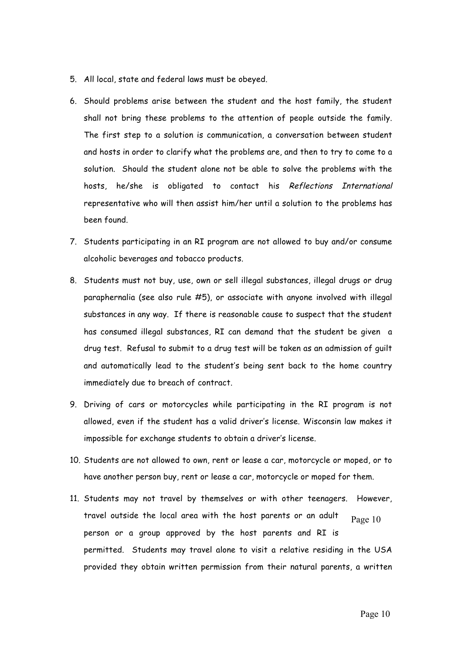- 5. All local, state and federal laws must be obeyed.
- 6. Should problems arise between the student and the host family, the student shall not bring these problems to the attention of people outside the family. The first step to a solution is communication, a conversation between student and hosts in order to clarify what the problems are, and then to try to come to a solution. Should the student alone not be able to solve the problems with the hosts, he/she is obligated to contact his Reflections International representative who will then assist him/her until a solution to the problems has been found.
- 7. Students participating in an RI program are not allowed to buy and/or consume alcoholic beverages and tobacco products.
- 8. Students must not buy, use, own or sell illegal substances, illegal drugs or drug paraphernalia (see also rule #5), or associate with anyone involved with illegal substances in any way. If there is reasonable cause to suspect that the student has consumed illegal substances, RI can demand that the student be given a drug test. Refusal to submit to a drug test will be taken as an admission of guilt and automatically lead to the student's being sent back to the home country immediately due to breach of contract.
- 9. Driving of cars or motorcycles while participating in the RI program is not allowed, even if the student has a valid driver's license. Wisconsin law makes it impossible for exchange students to obtain a driver's license.
- 10. Students are not allowed to own, rent or lease a car, motorcycle or moped, or to have another person buy, rent or lease a car, motorcycle or moped for them.
- 11. Students may not travel by themselves or with other teenagers. However, travel outside the local area with the host parents or an adult person or a group approved by the host parents and RI is permitted. Students may travel alone to visit a relative residing in the USA provided they obtain written permission from their natural parents, a written Page 10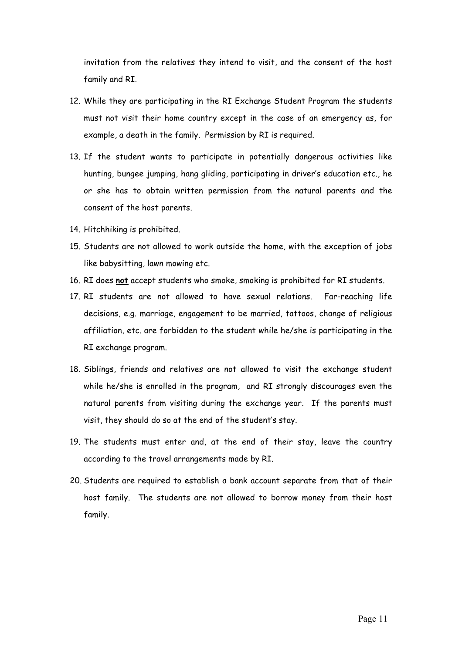invitation from the relatives they intend to visit, and the consent of the host family and RI.

- 12. While they are participating in the RI Exchange Student Program the students must not visit their home country except in the case of an emergency as, for example, a death in the family. Permission by RI is required.
- 13. If the student wants to participate in potentially dangerous activities like hunting, bungee jumping, hang gliding, participating in driver's education etc., he or she has to obtain written permission from the natural parents and the consent of the host parents.
- 14. Hitchhiking is prohibited.
- 15. Students are not allowed to work outside the home, with the exception of jobs like babysitting, lawn mowing etc.
- 16. RI does **not** accept students who smoke, smoking is prohibited for RI students.
- 17. RI students are not allowed to have sexual relations. Far-reaching life decisions, e.g. marriage, engagement to be married, tattoos, change of religious affiliation, etc. are forbidden to the student while he/she is participating in the RI exchange program.
- 18. Siblings, friends and relatives are not allowed to visit the exchange student while he/she is enrolled in the program, and RI strongly discourages even the natural parents from visiting during the exchange year. If the parents must visit, they should do so at the end of the student's stay.
- 19. The students must enter and, at the end of their stay, leave the country according to the travel arrangements made by RI.
- 20. Students are required to establish a bank account separate from that of their host family. The students are not allowed to borrow money from their host family.